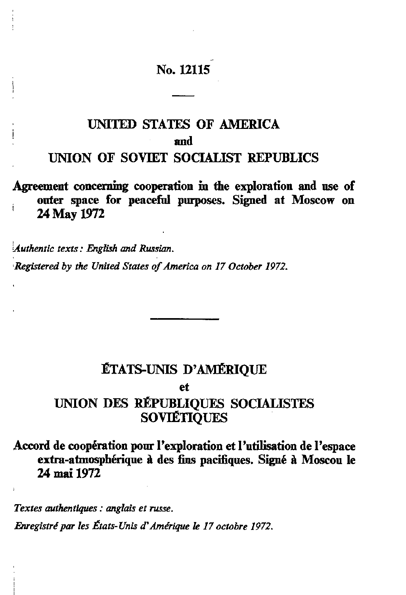# **No. 12115**

# **UNTIED STATES OF AMERICA and UNION OF SOVIET SOCIALIST REPUBLICS**

**Agreement concerning cooperation in the exploration and use of outer space for peaceful purposes. Signed at Moscow on 1 24 May 1972**

*Authentic texts : EngUsh and Russian.*

*Registered by the United States of America on 17 October 1972.*

### **ÉTATS-UNIS D'AMÉRIQUE**

**et**

### **UNION DES RÉPUBLIQUES SOCIALISTES SOVIÉTIQUES**

**Accord de coopération pour l'exploration et l'utilisation de l'espace extra-atmosphérique à des fins pacifiques. Signé à Moscou le 24 mai 1972**

*Textes authentiques : anglais et russe.*

*Enregistré par les États-Unis d'Amérique le 17 octobre 1972.*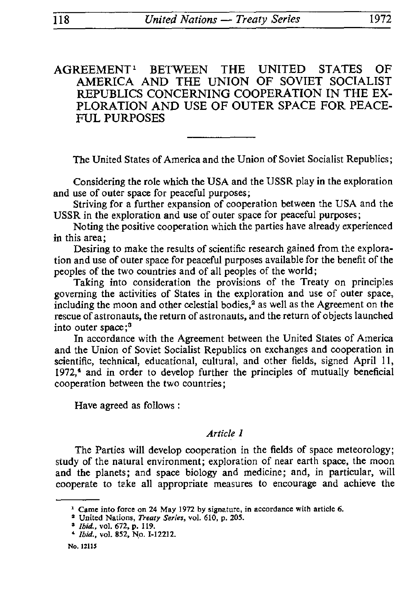AGREEMENT1 BETWEEN THE UNITED STATES OF AMERICA AND THE UNION OF SOVIET SOCIALIST REPUBLICS CONCERNING COOPERATION IN THE EX PLORATION AND USE OF OUTER SPACE FOR PEACE FUL PURPOSES

The United States of America and the Union of Soviet Socialist Republics;

Considering the role which the USA and the USSR play in the exploration and use of outer space for peaceful purposes;

Striving for a further expansion of cooperation between the USA and the USSR in the exploration and use of outer space for peaceful purposes;

Noting the positive cooperation which the parties have already experienced in this area;

Desiring to make the results of scientific research gained from the explora tion and use of outer space for peaceful purposes available for the benefit of the peoples of the two countries and of all peoples of the world ;

Taking into consideration the provisions of the Treaty on principles governing the activities of States in the exploration and use of outer space, including the moon and other celestial bodies,<sup>2</sup> as well as the Agreement on the rescue of astronauts, the return of astronauts, and the return of objects launched into outer space;3

In accordance with the Agreement between the United States of America and the Union of Soviet Socialist Republics on exchanges and cooperation in scientific, technical, educational, cultural, and other fields, signed April 11, *1972,\** and in order to develop further the principles of mutually beneficial cooperation between the two countries ;

Have agreed as follows :

#### *Article 1*

The Parties will develop cooperation in the fields of space meteorology; study of the natural environment; exploration of near earth space, the moon and the planets; and space biology and medicine; and, in particular, will cooperate to take all appropriate measures to encourage and achieve the

No. 12115

<sup>&</sup>lt;sup>1</sup> Came into force on 24 May 1972 by signature, in accordance with article 6.

<sup>3</sup> United Nations, *Treaty Series,* vol. 610, p. 205.

<sup>3</sup>*Ibid., vol* 672, p. 119.

<sup>\*</sup> *Ibid.,* vol. 852, No. I-I2212.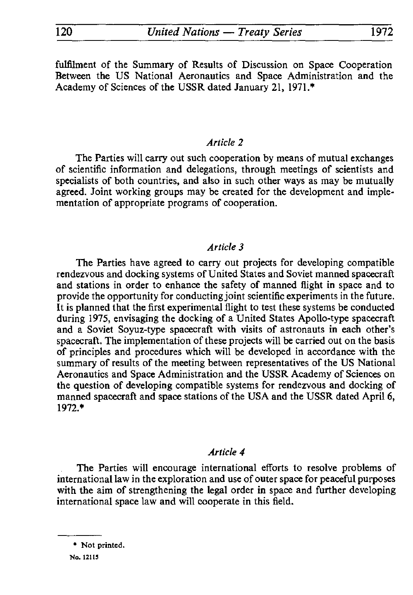fulfilment of the Summary of Results of Discussion on Space Cooperation Between the US National Aeronautics and Space Administration and the Academy of Sciences of the USSR dated January 21, 1971.\*

#### *Article 2*

The Parties will carry out such cooperation by means of mutual exchanges of scientific information and delegations, through meetings of scientists and specialists of both countries, and also in such other ways as may be mutually agreed. Joint working groups may be created for the development and imple mentation of appropriate programs of cooperation.

#### *Article 3*

The Parties have agreed to carry out projects for developing compatible rendezvous and docking systems of United States and Soviet manned spacecraft and stations in order to enhance the safety of manned flight in space and to provide the opportunity for conducting joint scientific experiments in the future. It is planned that the first experimental flight to test these systems be conducted during 1975, envisaging the docking of a United States Apollo-type spacecraft and a Soviet Soyuz-type spacecraft with visits of astronauts in each other's spacecraft. The implementation of these projects will be carried out on the basis of principles and procedures which will be developed in accordance with the summary of results of the meeting between representatives of the US National Aeronautics and Space Administration and the USSR Academy of Sciences on the question of developing compatible systems for rendezvous and docking of manned spacecraft and space stations of the USA and the USSR dated April 6, 1972.\*

#### *Article 4*

The Parties will encourage international efforts to resolve problems of international law in the exploration and use of outer space for peaceful purposes with the aim of strengthening the legal order in space and further developing international space law and will cooperate in this field.

<sup>\*</sup> Not printed.